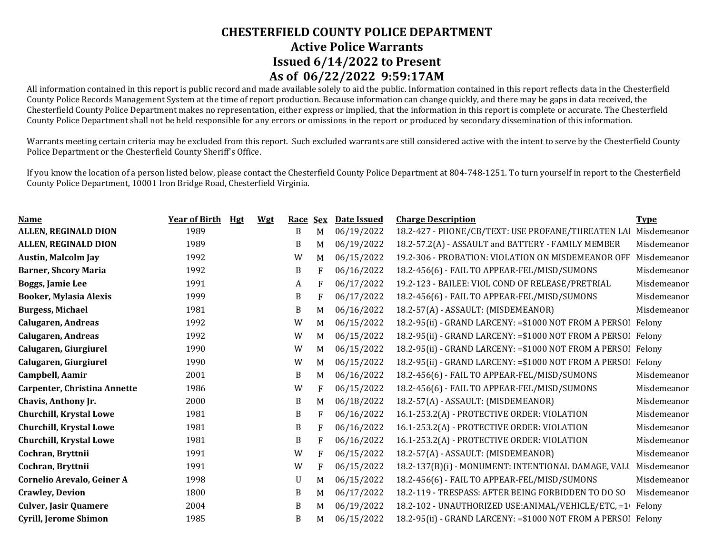All information contained in this report is public record and made available solely to aid the public. Information contained in this report reflects data in the Chesterfield County Police Records Management System at the time of report production. Because information can change quickly, and there may be gaps in data received, the Chesterfield County Police Department makes no representation, either express or implied, that the information in this report is complete or accurate. The Chesterfield County Police Department shall not be held responsible for any errors or omissions in the report or produced by secondary dissemination of this information.

Warrants meeting certain criteria may be excluded from this report. Such excluded warrants are still considered active with the intent to serve by the Chesterfield County Police Department or the Chesterfield County Sheriff's Office.

| <b>Name</b>                         | <b>Year of Birth</b> | Hgt | <b>Wgt</b> | <b>Race</b> | <b>Sex</b> | Date Issued | <b>Charge Description</b>                                      | <b>Type</b> |
|-------------------------------------|----------------------|-----|------------|-------------|------------|-------------|----------------------------------------------------------------|-------------|
| ALLEN, REGINALD DION                | 1989                 |     |            | B           | M          | 06/19/2022  | 18.2-427 - PHONE/CB/TEXT: USE PROFANE/THREATEN LAI             | Misdemeanor |
| ALLEN, REGINALD DION                | 1989                 |     |            | B           | M          | 06/19/2022  | 18.2-57.2(A) - ASSAULT and BATTERY - FAMILY MEMBER             | Misdemeanor |
| <b>Austin, Malcolm Jay</b>          | 1992                 |     |            | W           | M          | 06/15/2022  | 19.2-306 - PROBATION: VIOLATION ON MISDEMEANOR OFF             | Misdemeanor |
| <b>Barner, Shcory Maria</b>         | 1992                 |     |            | B           | F          | 06/16/2022  | 18.2-456(6) - FAIL TO APPEAR-FEL/MISD/SUMONS                   | Misdemeanor |
| Boggs, Jamie Lee                    | 1991                 |     |            | A           | F          | 06/17/2022  | 19.2-123 - BAILEE: VIOL COND OF RELEASE/PRETRIAL               | Misdemeanor |
| <b>Booker, Mylasia Alexis</b>       | 1999                 |     |            | B           | F          | 06/17/2022  | 18.2-456(6) - FAIL TO APPEAR-FEL/MISD/SUMONS                   | Misdemeanor |
| <b>Burgess, Michael</b>             | 1981                 |     |            | B           | M          | 06/16/2022  | 18.2-57(A) - ASSAULT: (MISDEMEANOR)                            | Misdemeanor |
| <b>Calugaren, Andreas</b>           | 1992                 |     |            | W           | M          | 06/15/2022  | 18.2-95(ii) - GRAND LARCENY: = \$1000 NOT FROM A PERSO! Felony |             |
| <b>Calugaren, Andreas</b>           | 1992                 |     |            | W           | M          | 06/15/2022  | 18.2-95(ii) - GRAND LARCENY: = \$1000 NOT FROM A PERSO! Felony |             |
| Calugaren, Giurgiurel               | 1990                 |     |            | W           | M          | 06/15/2022  | 18.2-95(ii) - GRAND LARCENY: = \$1000 NOT FROM A PERSO! Felony |             |
| Calugaren, Giurgiurel               | 1990                 |     |            | W           | M          | 06/15/2022  | 18.2-95(ii) - GRAND LARCENY: = \$1000 NOT FROM A PERSOI        | Felony      |
| Campbell, Aamir                     | 2001                 |     |            | B           | M          | 06/16/2022  | 18.2-456(6) - FAIL TO APPEAR-FEL/MISD/SUMONS                   | Misdemeanor |
| <b>Carpenter, Christina Annette</b> | 1986                 |     |            | W           | F          | 06/15/2022  | 18.2-456(6) - FAIL TO APPEAR-FEL/MISD/SUMONS                   | Misdemeanor |
| Chavis, Anthony Jr.                 | 2000                 |     |            | B           | M          | 06/18/2022  | 18.2-57(A) - ASSAULT: (MISDEMEANOR)                            | Misdemeanor |
| <b>Churchill, Krystal Lowe</b>      | 1981                 |     |            | B           | F          | 06/16/2022  | 16.1-253.2(A) - PROTECTIVE ORDER: VIOLATION                    | Misdemeanor |
| <b>Churchill, Krystal Lowe</b>      | 1981                 |     |            | B           | F          | 06/16/2022  | 16.1-253.2(A) - PROTECTIVE ORDER: VIOLATION                    | Misdemeanor |
| <b>Churchill, Krystal Lowe</b>      | 1981                 |     |            | B           | F          | 06/16/2022  | 16.1-253.2(A) - PROTECTIVE ORDER: VIOLATION                    | Misdemeanor |
| Cochran, Bryttnii                   | 1991                 |     |            | W           | F          | 06/15/2022  | 18.2-57(A) - ASSAULT: (MISDEMEANOR)                            | Misdemeanor |
| Cochran, Bryttnii                   | 1991                 |     |            | W           | F          | 06/15/2022  | 18.2-137(B)(i) - MONUMENT: INTENTIONAL DAMAGE, VALU            | Misdemeanor |
| Cornelio Arevalo, Geiner A          | 1998                 |     |            | U           | M          | 06/15/2022  | 18.2-456(6) - FAIL TO APPEAR-FEL/MISD/SUMONS                   | Misdemeanor |
| <b>Crawley, Devion</b>              | 1800                 |     |            | B           | M          | 06/17/2022  | 18.2-119 - TRESPASS: AFTER BEING FORBIDDEN TO DO SO            | Misdemeanor |
| <b>Culver, Jasir Quamere</b>        | 2004                 |     |            | B           | M          | 06/19/2022  | 18.2-102 - UNAUTHORIZED USE: ANIMAL/VEHICLE/ETC, =1            | Felony      |
| Cyrill, Jerome Shimon               | 1985                 |     |            | B           | M          | 06/15/2022  | 18.2-95(ii) - GRAND LARCENY: = \$1000 NOT FROM A PERSO! Felony |             |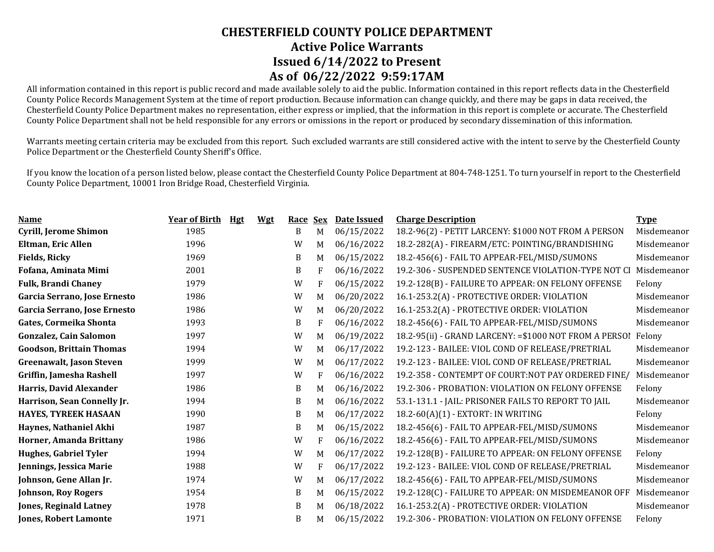All information contained in this report is public record and made available solely to aid the public. Information contained in this report reflects data in the Chesterfield County Police Records Management System at the time of report production. Because information can change quickly, and there may be gaps in data received, the Chesterfield County Police Department makes no representation, either express or implied, that the information in this report is complete or accurate. The Chesterfield County Police Department shall not be held responsible for any errors or omissions in the report or produced by secondary dissemination of this information.

Warrants meeting certain criteria may be excluded from this report. Such excluded warrants are still considered active with the intent to serve by the Chesterfield County Police Department or the Chesterfield County Sheriff's Office.

| <b>Name</b>                     | <b>Year of Birth</b> | <b>Hgt</b><br><b>Wgt</b> | Race         | <b>Sex</b> | Date Issued | <b>Charge Description</b>                               | <b>Type</b> |
|---------------------------------|----------------------|--------------------------|--------------|------------|-------------|---------------------------------------------------------|-------------|
| <b>Cyrill, Jerome Shimon</b>    | 1985                 |                          | B            | M          | 06/15/2022  | 18.2-96(2) - PETIT LARCENY: \$1000 NOT FROM A PERSON    | Misdemeanor |
| <b>Eltman, Eric Allen</b>       | 1996                 |                          | W            | M          | 06/16/2022  | 18.2-282(A) - FIREARM/ETC: POINTING/BRANDISHING         | Misdemeanor |
| <b>Fields, Ricky</b>            | 1969                 |                          | B            | M          | 06/15/2022  | 18.2-456(6) - FAIL TO APPEAR-FEL/MISD/SUMONS            | Misdemeanor |
| Fofana, Aminata Mimi            | 2001                 |                          | B            | F          | 06/16/2022  | 19.2-306 - SUSPENDED SENTENCE VIOLATION-TYPE NOT CI     | Misdemeanor |
| <b>Fulk, Brandi Chaney</b>      | 1979                 |                          | W            | F          | 06/15/2022  | 19.2-128(B) - FAILURE TO APPEAR: ON FELONY OFFENSE      | Felony      |
| Garcia Serrano, Jose Ernesto    | 1986                 |                          | W            | M          | 06/20/2022  | 16.1-253.2(A) - PROTECTIVE ORDER: VIOLATION             | Misdemeanor |
| Garcia Serrano, Jose Ernesto    | 1986                 |                          | W            | M          | 06/20/2022  | 16.1-253.2(A) - PROTECTIVE ORDER: VIOLATION             | Misdemeanor |
| Gates, Cormeika Shonta          | 1993                 |                          | B            | F          | 06/16/2022  | 18.2-456(6) - FAIL TO APPEAR-FEL/MISD/SUMONS            | Misdemeanor |
| <b>Gonzalez, Cain Salomon</b>   | 1997                 |                          | W            | M          | 06/19/2022  | 18.2-95(ii) - GRAND LARCENY: = \$1000 NOT FROM A PERSOI | Felony      |
| <b>Goodson, Brittain Thomas</b> | 1994                 |                          | W            | M          | 06/17/2022  | 19.2-123 - BAILEE: VIOL COND OF RELEASE/PRETRIAL        | Misdemeanor |
| <b>Greenawalt, Jason Steven</b> | 1999                 |                          | W            | M          | 06/17/2022  | 19.2-123 - BAILEE: VIOL COND OF RELEASE/PRETRIAL        | Misdemeanor |
| Griffin, Jamesha Rashell        | 1997                 |                          | W            | F          | 06/16/2022  | 19.2-358 - CONTEMPT OF COURT:NOT PAY ORDERED FINE/      | Misdemeanor |
| Harris, David Alexander         | 1986                 |                          | B            | M          | 06/16/2022  | 19.2-306 - PROBATION: VIOLATION ON FELONY OFFENSE       | Felony      |
| Harrison, Sean Connelly Jr.     | 1994                 |                          | $\, {\bf B}$ | M          | 06/16/2022  | 53.1-131.1 - JAIL: PRISONER FAILS TO REPORT TO JAIL     | Misdemeanor |
| <b>HAYES, TYREEK HASAAN</b>     | 1990                 |                          | $\, {\bf B}$ | M          | 06/17/2022  | 18.2-60(A)(1) - EXTORT: IN WRITING                      | Felony      |
| Haynes, Nathaniel Akhi          | 1987                 |                          | $\, {\bf B}$ | M          | 06/15/2022  | 18.2-456(6) - FAIL TO APPEAR-FEL/MISD/SUMONS            | Misdemeanor |
| Horner, Amanda Brittany         | 1986                 |                          | W            | F          | 06/16/2022  | 18.2-456(6) - FAIL TO APPEAR-FEL/MISD/SUMONS            | Misdemeanor |
| <b>Hughes, Gabriel Tyler</b>    | 1994                 |                          | W            | M          | 06/17/2022  | 19.2-128(B) - FAILURE TO APPEAR: ON FELONY OFFENSE      | Felony      |
| Jennings, Jessica Marie         | 1988                 |                          | W            | F          | 06/17/2022  | 19.2-123 - BAILEE: VIOL COND OF RELEASE/PRETRIAL        | Misdemeanor |
| Johnson, Gene Allan Jr.         | 1974                 |                          | W            | M          | 06/17/2022  | 18.2-456(6) - FAIL TO APPEAR-FEL/MISD/SUMONS            | Misdemeanor |
| <b>Johnson, Roy Rogers</b>      | 1954                 |                          | B            | M          | 06/15/2022  | 19.2-128(C) - FAILURE TO APPEAR: ON MISDEMEANOR OFF     | Misdemeanor |
| <b>Jones, Reginald Latney</b>   | 1978                 |                          | B            | M          | 06/18/2022  | 16.1-253.2(A) - PROTECTIVE ORDER: VIOLATION             | Misdemeanor |
| <b>Jones, Robert Lamonte</b>    | 1971                 |                          | B            | M          | 06/15/2022  | 19.2-306 - PROBATION: VIOLATION ON FELONY OFFENSE       | Felony      |
|                                 |                      |                          |              |            |             |                                                         |             |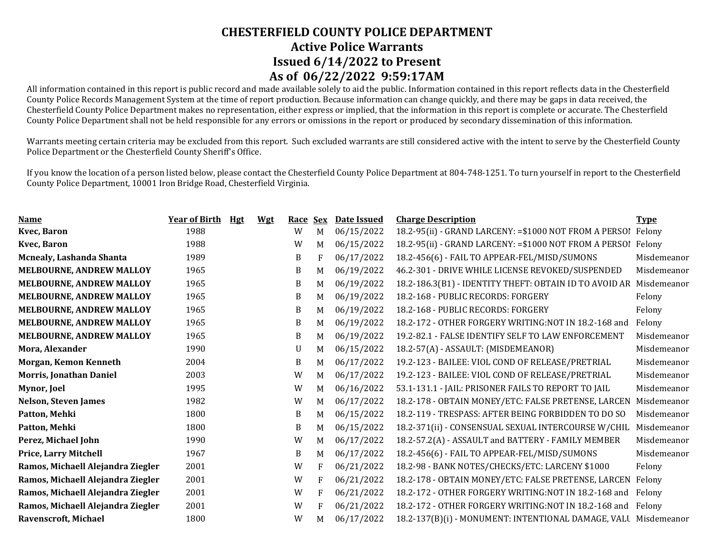All information contained in this report is public record and made available solely to aid the public. Information contained in this report reflects data in the Chesterfield County Police Records Management System at the time of report production. Because information can change quickly, and there may be gaps in data received, the Chesterfield County Police Department makes no representation, either express or implied, that the information in this report is complete or accurate. The Chesterfield County Police Department shall not be held responsible for any errors or omissions in the report or produced by secondary dissemination of this information.

Warrants meeting certain criteria may be excluded from this report. Such excluded warrants are still considered active with the intent to serve by the Chesterfield County Police Department or the Chesterfield County Sheriff's Office.

| <b>Name</b>                       | <b>Year of Birth</b> | Hgt<br><b>Wgt</b> | Race | <b>Sex</b> | Date Issued | <b>Charge Description</b>                                       | <b>Type</b> |
|-----------------------------------|----------------------|-------------------|------|------------|-------------|-----------------------------------------------------------------|-------------|
| Kvec, Baron                       | 1988                 |                   | W    | M          | 06/15/2022  | 18.2-95(ii) - GRAND LARCENY: = \$1000 NOT FROM A PERSOI         | Felony      |
| Kvec, Baron                       | 1988                 |                   | W    | M          | 06/15/2022  | 18.2-95(ii) - GRAND LARCENY: = \$1000 NOT FROM A PERSO!         | Felony      |
| Mcnealy, Lashanda Shanta          | 1989                 |                   | B    | F          | 06/17/2022  | 18.2-456(6) - FAIL TO APPEAR-FEL/MISD/SUMONS                    | Misdemeanor |
| <b>MELBOURNE, ANDREW MALLOY</b>   | 1965                 |                   | B    | M          | 06/19/2022  | 46.2-301 - DRIVE WHILE LICENSE REVOKED/SUSPENDED                | Misdemeanor |
| <b>MELBOURNE, ANDREW MALLOY</b>   | 1965                 |                   | B    | M          | 06/19/2022  | 18.2-186.3(B1) - IDENTITY THEFT: OBTAIN ID TO AVOID AR          | Misdemeanor |
| <b>MELBOURNE, ANDREW MALLOY</b>   | 1965                 |                   | B    | M          | 06/19/2022  | 18.2-168 - PUBLIC RECORDS: FORGERY                              | Felony      |
| <b>MELBOURNE, ANDREW MALLOY</b>   | 1965                 |                   | B    | M          | 06/19/2022  | 18.2-168 - PUBLIC RECORDS: FORGERY                              | Felony      |
| <b>MELBOURNE, ANDREW MALLOY</b>   | 1965                 |                   | B    | M          | 06/19/2022  | 18.2-172 - OTHER FORGERY WRITING:NOT IN 18.2-168 and            | Felony      |
| <b>MELBOURNE, ANDREW MALLOY</b>   | 1965                 |                   | B    | M          | 06/19/2022  | 19.2-82.1 - FALSE IDENTIFY SELF TO LAW ENFORCEMENT              | Misdemeanor |
| Mora, Alexander                   | 1990                 |                   | U    | M          | 06/15/2022  | 18.2-57(A) - ASSAULT: (MISDEMEANOR)                             | Misdemeanor |
| Morgan, Kemon Kenneth             | 2004                 |                   | B    | M          | 06/17/2022  | 19.2-123 - BAILEE: VIOL COND OF RELEASE/PRETRIAL                | Misdemeanor |
| <b>Morris, Jonathan Daniel</b>    | 2003                 |                   | W    | M          | 06/17/2022  | 19.2-123 - BAILEE: VIOL COND OF RELEASE/PRETRIAL                | Misdemeanor |
| Mynor, Joel                       | 1995                 |                   | W    | M          | 06/16/2022  | 53.1-131.1 - JAIL: PRISONER FAILS TO REPORT TO JAIL             | Misdemeanor |
| <b>Nelson, Steven James</b>       | 1982                 |                   | W    | M          | 06/17/2022  | 18.2-178 - OBTAIN MONEY/ETC: FALSE PRETENSE, LARCEN             | Misdemeanor |
| Patton, Mehki                     | 1800                 |                   | B    | M          | 06/15/2022  | 18.2-119 - TRESPASS: AFTER BEING FORBIDDEN TO DO SO             | Misdemeanor |
| Patton, Mehki                     | 1800                 |                   | B    | M          | 06/15/2022  | 18.2-371(ii) - CONSENSUAL SEXUAL INTERCOURSE W/CHIL             | Misdemeanor |
| Perez, Michael John               | 1990                 |                   | W    | M          | 06/17/2022  | 18.2-57.2(A) - ASSAULT and BATTERY - FAMILY MEMBER              | Misdemeanor |
| <b>Price, Larry Mitchell</b>      | 1967                 |                   | B    | M          | 06/17/2022  | 18.2-456(6) - FAIL TO APPEAR-FEL/MISD/SUMONS                    | Misdemeanor |
| Ramos, Michaell Alejandra Ziegler | 2001                 |                   | W    | F          | 06/21/2022  | 18.2-98 - BANK NOTES/CHECKS/ETC: LARCENY \$1000                 | Felony      |
| Ramos, Michaell Alejandra Ziegler | 2001                 |                   | W    | F          | 06/21/2022  | 18.2-178 - OBTAIN MONEY/ETC: FALSE PRETENSE, LARCEN             | Felony      |
| Ramos, Michaell Alejandra Ziegler | 2001                 |                   | W    | F          | 06/21/2022  | 18.2-172 - OTHER FORGERY WRITING:NOT IN 18.2-168 and            | Felony      |
| Ramos, Michaell Alejandra Ziegler | 2001                 |                   | W    | F          | 06/21/2022  | 18.2-172 - OTHER FORGERY WRITING:NOT IN 18.2-168 and            | Felony      |
| Ravenscroft, Michael              | 1800                 |                   | W    | M          | 06/17/2022  | 18.2-137(B)(i) - MONUMENT: INTENTIONAL DAMAGE, VALU Misdemeanor |             |